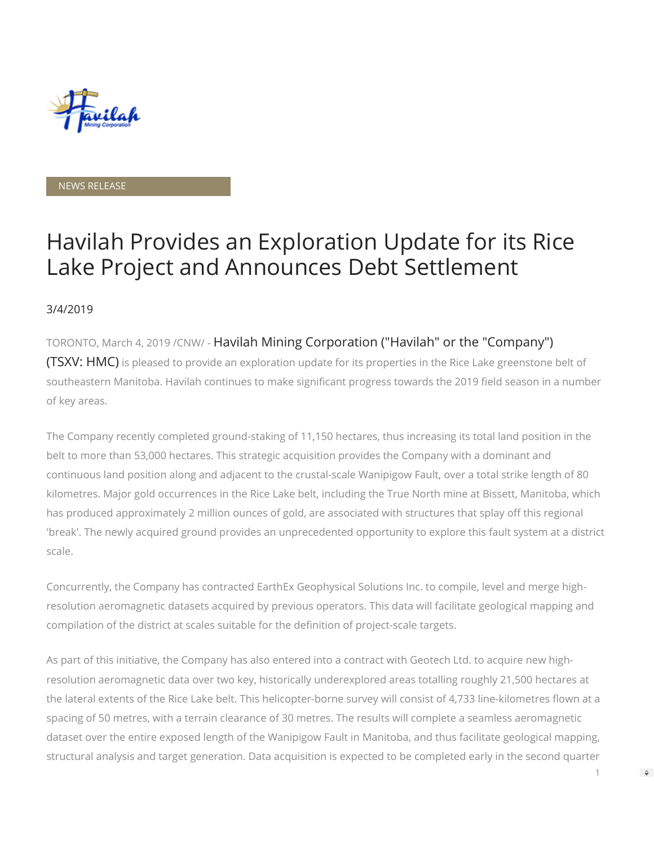

#### NEWS RELEASE

# Havilah Provides an Exploration Update for its Rice Lake Project and Announces Debt Settlement

#### 3/4/2019

TORONTO, March 4, 2019 /CNW/ - Havilah Mining Corporation ("Havilah" or the "Company") (TSXV: HMC) is pleased to provide an exploration update for its properties in the Rice Lake greenstone belt of southeastern Manitoba. Havilah continues to make significant progress towards the 2019 field season in a number of key areas.

The Company recently completed ground-staking of 11,150 hectares, thus increasing its total land position in the belt to more than 53,000 hectares. This strategic acquisition provides the Company with a dominant and continuous land position along and adjacent to the crustal-scale Wanipigow Fault, over a total strike length of 80 kilometres. Major gold occurrences in the Rice Lake belt, including the True North mine at Bissett, Manitoba, which has produced approximately 2 million ounces of gold, are associated with structures that splay off this regional 'break'. The newly acquired ground provides an unprecedented opportunity to explore this fault system at a district scale.

Concurrently, the Company has contracted EarthEx Geophysical Solutions Inc. to compile, level and merge highresolution aeromagnetic datasets acquired by previous operators. This data will facilitate geological mapping and compilation of the district at scales suitable for the definition of project-scale targets.

As part of this initiative, the Company has also entered into a contract with Geotech Ltd. to acquire new highresolution aeromagnetic data over two key, historically underexplored areas totalling roughly 21,500 hectares at the lateral extents of the Rice Lake belt. This helicopter-borne survey will consist of 4,733 line-kilometres flown at a spacing of 50 metres, with a terrain clearance of 30 metres. The results will complete a seamless aeromagnetic dataset over the entire exposed length of the Wanipigow Fault in Manitoba, and thus facilitate geological mapping, structural analysis and target generation. Data acquisition is expected to be completed early in the second quarter

1

 $\Rightarrow$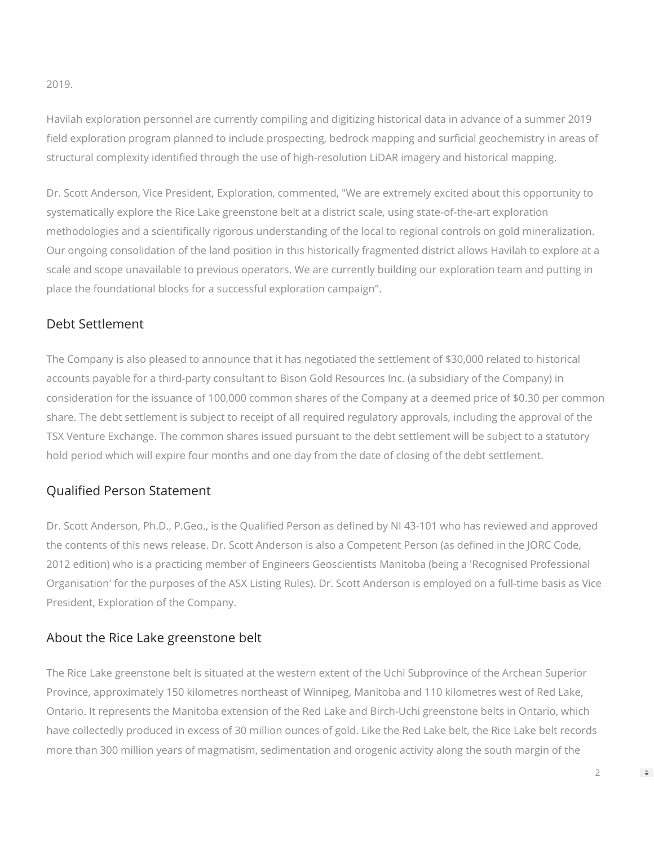2019.

Havilah exploration personnel are currently compiling and digitizing historical data in advance of a summer 2019 field exploration program planned to include prospecting, bedrock mapping and surficial geochemistry in areas of structural complexity identified through the use of high-resolution LiDAR imagery and historical mapping.

Dr. Scott Anderson, Vice President, Exploration, commented, "We are extremely excited about this opportunity to systematically explore the Rice Lake greenstone belt at a district scale, using state-of-the-art exploration methodologies and a scientifically rigorous understanding of the local to regional controls on gold mineralization. Our ongoing consolidation of the land position in this historically fragmented district allows Havilah to explore at a scale and scope unavailable to previous operators. We are currently building our exploration team and putting in place the foundational blocks for a successful exploration campaign".

### Debt Settlement

The Company is also pleased to announce that it has negotiated the settlement of \$30,000 related to historical accounts payable for a third-party consultant to Bison Gold Resources Inc. (a subsidiary of the Company) in consideration for the issuance of 100,000 common shares of the Company at a deemed price of \$0.30 per common share. The debt settlement is subject to receipt of all required regulatory approvals, including the approval of the TSX Venture Exchange. The common shares issued pursuant to the debt settlement will be subject to a statutory hold period which will expire four months and one day from the date of closing of the debt settlement.

## Qualified Person Statement

Dr. Scott Anderson, Ph.D., P.Geo., is the Qualified Person as defined by NI 43-101 who has reviewed and approved the contents of this news release. Dr. Scott Anderson is also a Competent Person (as defined in the JORC Code, 2012 edition) who is a practicing member of Engineers Geoscientists Manitoba (being a 'Recognised Professional Organisation' for the purposes of the ASX Listing Rules). Dr. Scott Anderson is employed on a full-time basis as Vice President, Exploration of the Company.

#### About the Rice Lake greenstone belt

The Rice Lake greenstone belt is situated at the western extent of the Uchi Subprovince of the Archean Superior Province, approximately 150 kilometres northeast of Winnipeg, Manitoba and 110 kilometres west of Red Lake, Ontario. It represents the Manitoba extension of the Red Lake and Birch-Uchi greenstone belts in Ontario, which have collectedly produced in excess of 30 million ounces of gold. Like the Red Lake belt, the Rice Lake belt records more than 300 million years of magmatism, sedimentation and orogenic activity along the south margin of the

2

 $\Rightarrow$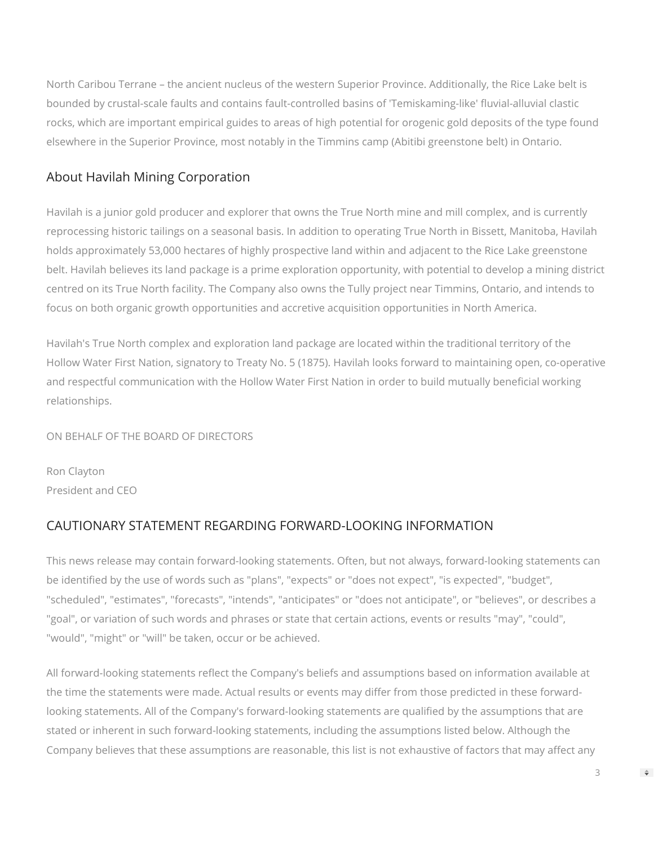North Caribou Terrane – the ancient nucleus of the western Superior Province. Additionally, the Rice Lake belt is bounded by crustal-scale faults and contains fault-controlled basins of 'Temiskaming-like' fluvial-alluvial clastic rocks, which are important empirical guides to areas of high potential for orogenic gold deposits of the type found elsewhere in the Superior Province, most notably in the Timmins camp (Abitibi greenstone belt) in Ontario.

## About Havilah Mining Corporation

Havilah is a junior gold producer and explorer that owns the True North mine and mill complex, and is currently reprocessing historic tailings on a seasonal basis. In addition to operating True North in Bissett, Manitoba, Havilah holds approximately 53,000 hectares of highly prospective land within and adjacent to the Rice Lake greenstone belt. Havilah believes its land package is a prime exploration opportunity, with potential to develop a mining district centred on its True North facility. The Company also owns the Tully project near Timmins, Ontario, and intends to focus on both organic growth opportunities and accretive acquisition opportunities in North America.

Havilah's True North complex and exploration land package are located within the traditional territory of the Hollow Water First Nation, signatory to Treaty No. 5 (1875). Havilah looks forward to maintaining open, co-operative and respectful communication with the Hollow Water First Nation in order to build mutually beneficial working relationships.

ON BEHALF OF THE BOARD OF DIRECTORS

Ron Clayton President and CEO

# CAUTIONARY STATEMENT REGARDING FORWARD-LOOKING INFORMATION

This news release may contain forward-looking statements. Often, but not always, forward-looking statements can be identified by the use of words such as "plans", "expects" or "does not expect", "is expected", "budget", "scheduled", "estimates", "forecasts", "intends", "anticipates" or "does not anticipate", or "believes", or describes a "goal", or variation of such words and phrases or state that certain actions, events or results "may", "could", "would", "might" or "will" be taken, occur or be achieved.

All forward-looking statements reflect the Company's beliefs and assumptions based on information available at the time the statements were made. Actual results or events may differ from those predicted in these forwardlooking statements. All of the Company's forward-looking statements are qualified by the assumptions that are stated or inherent in such forward-looking statements, including the assumptions listed below. Although the Company believes that these assumptions are reasonable, this list is not exhaustive of factors that may affect any

3

 $\Rightarrow$